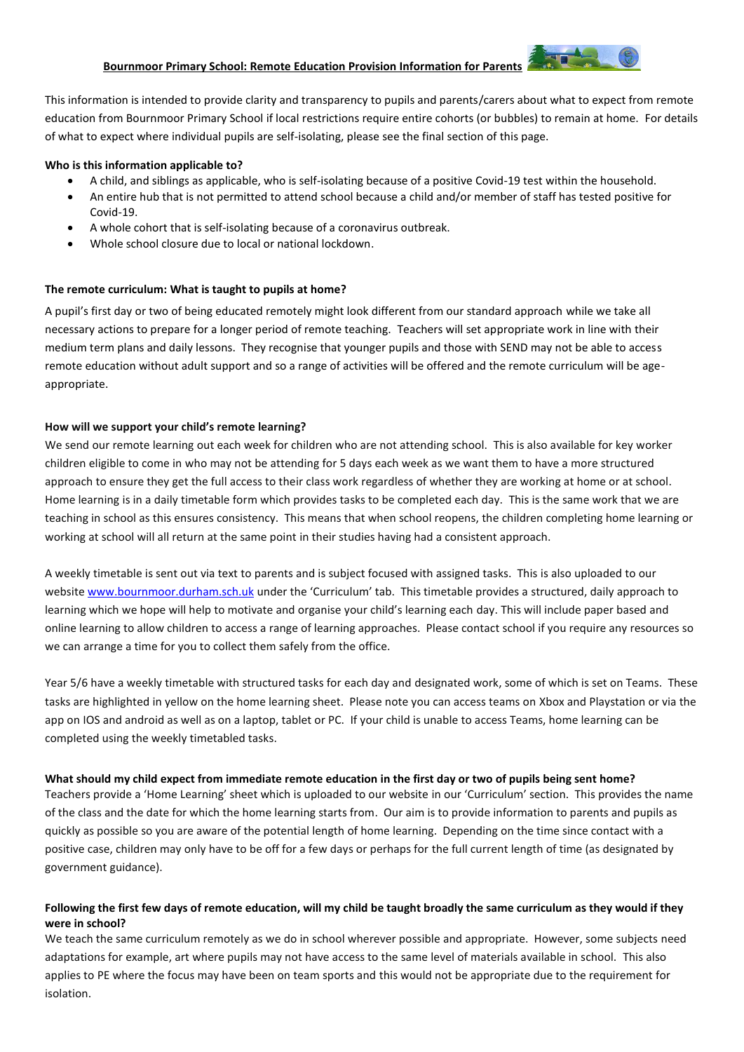#### **Bournmoor Primary School: Remote Education Provision Information for Parents**

This information is intended to provide clarity and transparency to pupils and parents/carers about what to expect from remote education from Bournmoor Primary School if local restrictions require entire cohorts (or bubbles) to remain at home. For details of what to expect where individual pupils are self-isolating, please see the final section of this page.

#### **Who is this information applicable to?**

- A child, and siblings as applicable, who is self-isolating because of a positive Covid-19 test within the household.
- An entire hub that is not permitted to attend school because a child and/or member of staff has tested positive for Covid-19.
- A whole cohort that is self-isolating because of a coronavirus outbreak.
- Whole school closure due to local or national lockdown.

#### **The remote curriculum: What is taught to pupils at home?**

A pupil's first day or two of being educated remotely might look different from our standard approach while we take all necessary actions to prepare for a longer period of remote teaching. Teachers will set appropriate work in line with their medium term plans and daily lessons. They recognise that younger pupils and those with SEND may not be able to access remote education without adult support and so a range of activities will be offered and the remote curriculum will be ageappropriate.

#### **How will we support your child's remote learning?**

We send our remote learning out each week for children who are not attending school. This is also available for key worker children eligible to come in who may not be attending for 5 days each week as we want them to have a more structured approach to ensure they get the full access to their class work regardless of whether they are working at home or at school. Home learning is in a daily timetable form which provides tasks to be completed each day. This is the same work that we are teaching in school as this ensures consistency. This means that when school reopens, the children completing home learning or working at school will all return at the same point in their studies having had a consistent approach.

A weekly timetable is sent out via text to parents and is subject focused with assigned tasks. This is also uploaded to our website [www.bournmoor.durham.sch.uk](http://www.bournmoor.durham.sch.uk/) under the 'Curriculum' tab. This timetable provides a structured, daily approach to learning which we hope will help to motivate and organise your child's learning each day. This will include paper based and online learning to allow children to access a range of learning approaches. Please contact school if you require any resources so we can arrange a time for you to collect them safely from the office.

Year 5/6 have a weekly timetable with structured tasks for each day and designated work, some of which is set on Teams. These tasks are highlighted in yellow on the home learning sheet. Please note you can access teams on Xbox and Playstation or via the app on IOS and android as well as on a laptop, tablet or PC. If your child is unable to access Teams, home learning can be completed using the weekly timetabled tasks.

#### **What should my child expect from immediate remote education in the first day or two of pupils being sent home?**

Teachers provide a 'Home Learning' sheet which is uploaded to our website in our 'Curriculum' section. This provides the name of the class and the date for which the home learning starts from. Our aim is to provide information to parents and pupils as quickly as possible so you are aware of the potential length of home learning. Depending on the time since contact with a positive case, children may only have to be off for a few days or perhaps for the full current length of time (as designated by government guidance).

### **Following the first few days of remote education, will my child be taught broadly the same curriculum as they would if they were in school?**

We teach the same curriculum remotely as we do in school wherever possible and appropriate. However, some subjects need adaptations for example, art where pupils may not have access to the same level of materials available in school. This also applies to PE where the focus may have been on team sports and this would not be appropriate due to the requirement for isolation.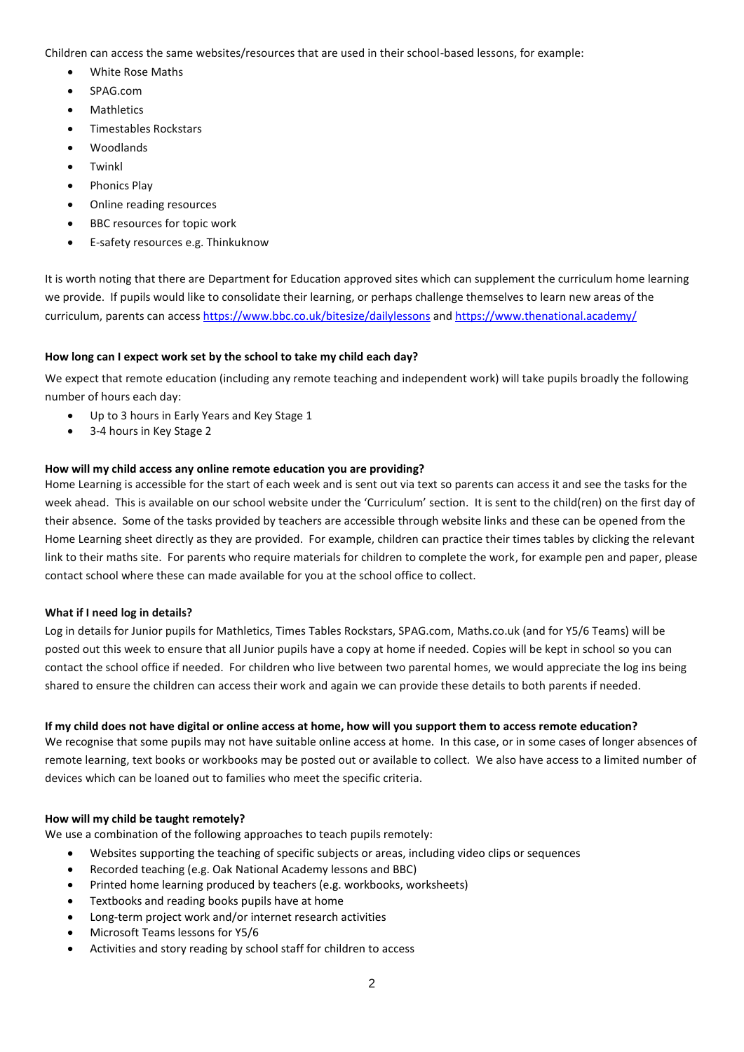Children can access the same websites/resources that are used in their school-based lessons, for example:

- White Rose Maths
- SPAG.com
- **Mathletics**
- Timestables Rockstars
- Woodlands
- Twinkl
- Phonics Play
- Online reading resources
- BBC resources for topic work
- E-safety resources e.g. Thinkuknow

It is worth noting that there are Department for Education approved sites which can supplement the curriculum home learning we provide. If pupils would like to consolidate their learning, or perhaps challenge themselves to learn new areas of the curriculum, parents can acces[s https://www.bbc.co.uk/bitesize/dailylessons](https://www.bbc.co.uk/bitesize/dailylessons) an[d https://www.thenational.academy/](https://www.thenational.academy/)

# **How long can I expect work set by the school to take my child each day?**

We expect that remote education (including any remote teaching and independent work) will take pupils broadly the following number of hours each day:

- Up to 3 hours in Early Years and Key Stage 1
- 3-4 hours in Key Stage 2

# **How will my child access any online remote education you are providing?**

Home Learning is accessible for the start of each week and is sent out via text so parents can access it and see the tasks for the week ahead. This is available on our school website under the 'Curriculum' section. It is sent to the child(ren) on the first day of their absence. Some of the tasks provided by teachers are accessible through website links and these can be opened from the Home Learning sheet directly as they are provided. For example, children can practice their times tables by clicking the relevant link to their maths site. For parents who require materials for children to complete the work, for example pen and paper, please contact school where these can made available for you at the school office to collect.

#### **What if I need log in details?**

Log in details for Junior pupils for Mathletics, Times Tables Rockstars, SPAG.com, Maths.co.uk (and for Y5/6 Teams) will be posted out this week to ensure that all Junior pupils have a copy at home if needed. Copies will be kept in school so you can contact the school office if needed. For children who live between two parental homes, we would appreciate the log ins being shared to ensure the children can access their work and again we can provide these details to both parents if needed.

#### **If my child does not have digital or online access at home, how will you support them to access remote education?**

We recognise that some pupils may not have suitable online access at home. In this case, or in some cases of longer absences of remote learning, text books or workbooks may be posted out or available to collect. We also have access to a limited number of devices which can be loaned out to families who meet the specific criteria.

# **How will my child be taught remotely?**

We use a combination of the following approaches to teach pupils remotely:

- Websites supporting the teaching of specific subjects or areas, including video clips or sequences
- Recorded teaching (e.g. Oak National Academy lessons and BBC)
- Printed home learning produced by teachers (e.g. workbooks, worksheets)
- Textbooks and reading books pupils have at home
- Long-term project work and/or internet research activities
- Microsoft Teams lessons for Y5/6
- Activities and story reading by school staff for children to access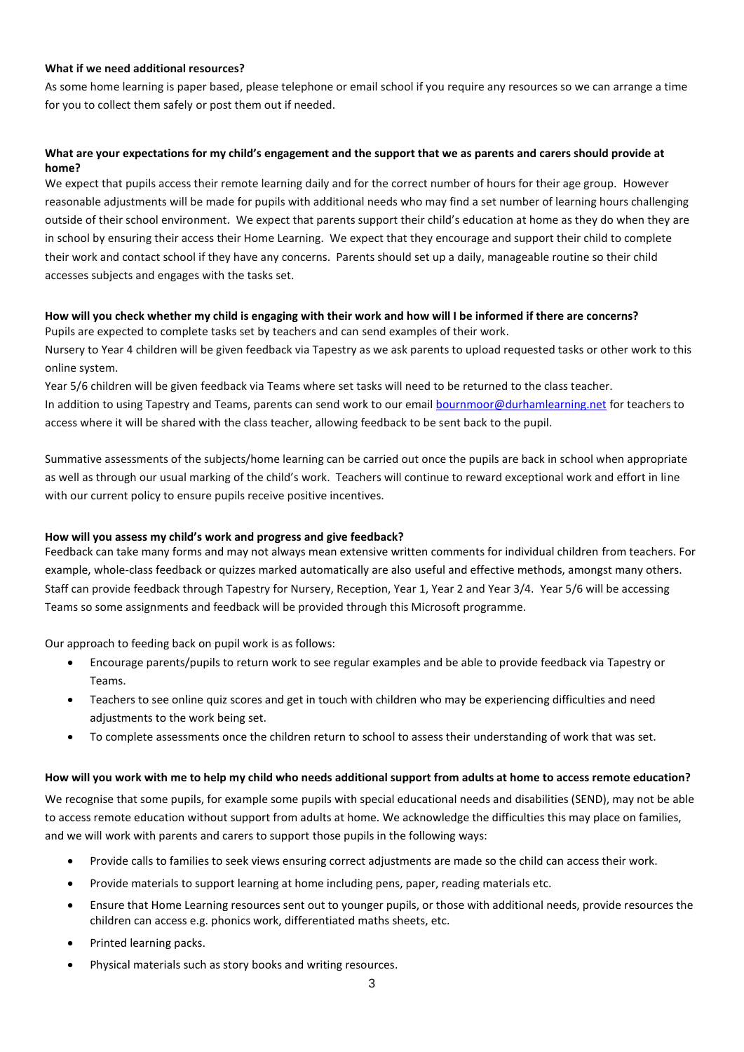#### **What if we need additional resources?**

As some home learning is paper based, please telephone or email school if you require any resources so we can arrange a time for you to collect them safely or post them out if needed.

# **What are your expectations for my child's engagement and the support that we as parents and carers should provide at home?**

We expect that pupils access their remote learning daily and for the correct number of hours for their age group. However reasonable adjustments will be made for pupils with additional needs who may find a set number of learning hours challenging outside of their school environment. We expect that parents support their child's education at home as they do when they are in school by ensuring their access their Home Learning. We expect that they encourage and support their child to complete their work and contact school if they have any concerns. Parents should set up a daily, manageable routine so their child accesses subjects and engages with the tasks set.

### **How will you check whether my child is engaging with their work and how will I be informed if there are concerns?** Pupils are expected to complete tasks set by teachers and can send examples of their work.

Nursery to Year 4 children will be given feedback via Tapestry as we ask parents to upload requested tasks or other work to this online system.

Year 5/6 children will be given feedback via Teams where set tasks will need to be returned to the class teacher. In addition to using Tapestry and Teams, parents can send work to our email [bournmoor@durhamlearning.net](mailto:bournmoor@durhamlearning.net) for teachers to access where it will be shared with the class teacher, allowing feedback to be sent back to the pupil.

Summative assessments of the subjects/home learning can be carried out once the pupils are back in school when appropriate as well as through our usual marking of the child's work. Teachers will continue to reward exceptional work and effort in line with our current policy to ensure pupils receive positive incentives.

#### **How will you assess my child's work and progress and give feedback?**

Feedback can take many forms and may not always mean extensive written comments for individual children from teachers. For example, whole-class feedback or quizzes marked automatically are also useful and effective methods, amongst many others. Staff can provide feedback through Tapestry for Nursery, Reception, Year 1, Year 2 and Year 3/4. Year 5/6 will be accessing Teams so some assignments and feedback will be provided through this Microsoft programme.

Our approach to feeding back on pupil work is as follows:

- Encourage parents/pupils to return work to see regular examples and be able to provide feedback via Tapestry or Teams.
- Teachers to see online quiz scores and get in touch with children who may be experiencing difficulties and need adjustments to the work being set.
- To complete assessments once the children return to school to assess their understanding of work that was set.

#### **How will you work with me to help my child who needs additional support from adults at home to access remote education?**

We recognise that some pupils, for example some pupils with special educational needs and disabilities (SEND), may not be able to access remote education without support from adults at home. We acknowledge the difficulties this may place on families, and we will work with parents and carers to support those pupils in the following ways:

- Provide calls to families to seek views ensuring correct adjustments are made so the child can access their work.
- Provide materials to support learning at home including pens, paper, reading materials etc.
- Ensure that Home Learning resources sent out to younger pupils, or those with additional needs, provide resources the children can access e.g. phonics work, differentiated maths sheets, etc.
- Printed learning packs.
- Physical materials such as story books and writing resources.